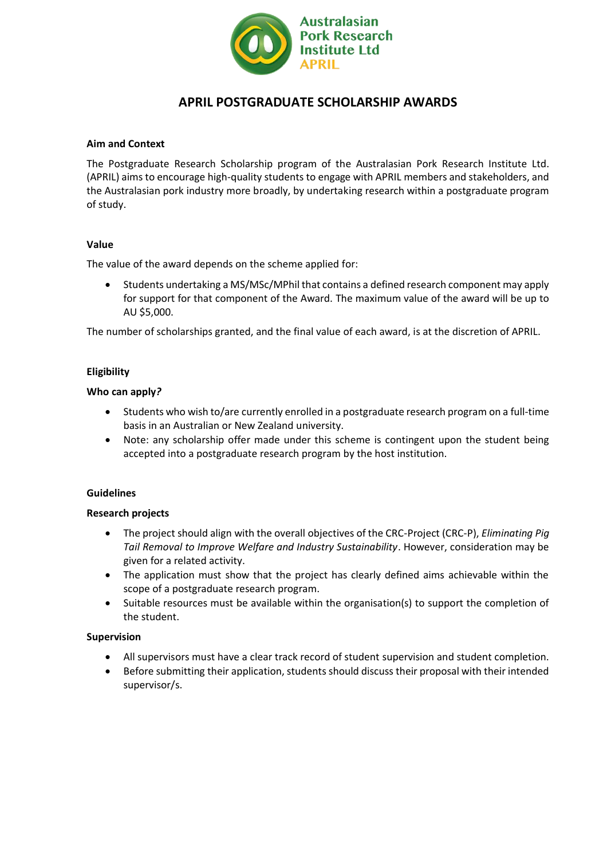

# **APRIL POSTGRADUATE SCHOLARSHIP AWARDS**

#### **Aim and Context**

The Postgraduate Research Scholarship program of the Australasian Pork Research Institute Ltd. (APRIL) aims to encourage high-quality students to engage with APRIL members and stakeholders, and the Australasian pork industry more broadly, by undertaking research within a postgraduate program of study.

## **Value**

The value of the award depends on the scheme applied for:

• Students undertaking a MS/MSc/MPhil that contains a defined research component may apply for support for that component of the Award. The maximum value of the award will be up to AU \$5,000.

The number of scholarships granted, and the final value of each award, is at the discretion of APRIL.

## **Eligibility**

#### **Who can apply***?*

- Students who wish to/are currently enrolled in a postgraduate research program on a full-time basis in an Australian or New Zealand university.
- Note: any scholarship offer made under this scheme is contingent upon the student being accepted into a postgraduate research program by the host institution.

#### **Guidelines**

#### **Research projects**

- The project should align with the overall objectives of the CRC-Project (CRC-P), *Eliminating Pig Tail Removal to Improve Welfare and Industry Sustainability*. However, consideration may be given for a related activity.
- The application must show that the project has clearly defined aims achievable within the scope of a postgraduate research program.
- Suitable resources must be available within the organisation(s) to support the completion of the student.

## **Supervision**

- All supervisors must have a clear track record of student supervision and student completion.
- Before submitting their application, students should discuss their proposal with their intended supervisor/s.